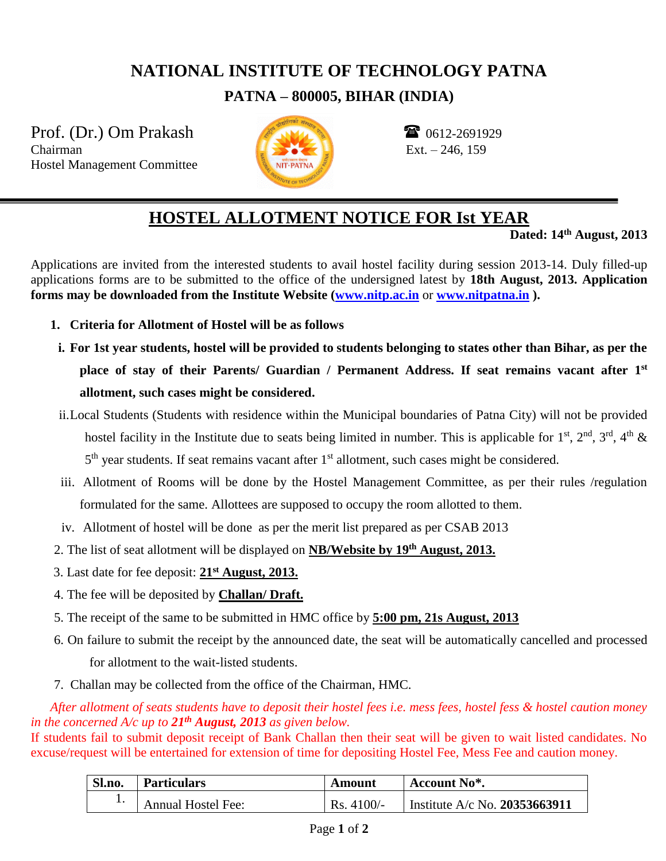## **NATIONAL INSTITUTE OF TECHNOLOGY PATNA**

**PATNA – 800005, BIHAR (INDIA)**

Prof. (Dr.) Om Prakash  $\frac{1}{2}$  0612-2691929 Chairman Ext. – 246, 159 Hostel Management Committee



## **HOSTEL ALLOTMENT NOTICE FOR Ist YEAR**

**Dated: 14th August, 2013**

Applications are invited from the interested students to avail hostel facility during session 2013-14. Duly filled-up applications forms are to be submitted to the office of the undersigned latest by **18th August, 2013. Application forms may be downloaded from the Institute Website [\(www.nitp.ac.in](http://www.nitp.ac.in/)** or **[www.nitpatna.in](http://www.nitpatna.in/) ).**

- **1. Criteria for Allotment of Hostel will be as follows**
- **i. For 1st year students, hostel will be provided to students belonging to states other than Bihar, as per the place of stay of their Parents/ Guardian / Permanent Address. If seat remains vacant after 1st allotment, such cases might be considered.**
- ii.Local Students (Students with residence within the Municipal boundaries of Patna City) will not be provided hostel facility in the Institute due to seats being limited in number. This is applicable for  $1^{st}$ ,  $2^{nd}$ ,  $3^{rd}$ ,  $4^{th}$  & 5<sup>th</sup> year students. If seat remains vacant after 1<sup>st</sup> allotment, such cases might be considered.
- iii. Allotment of Rooms will be done by the Hostel Management Committee, as per their rules /regulation formulated for the same. Allottees are supposed to occupy the room allotted to them.
- iv. Allotment of hostel will be done as per the merit list prepared as per CSAB 2013
- 2. The list of seat allotment will be displayed on **NB/Website by 19th August, 2013.**
- 3. Last date for fee deposit: **21st August, 2013.**
- 4. The fee will be deposited by **Challan/ Draft.**
- 5. The receipt of the same to be submitted in HMC office by **5:00 pm, 21s August, 2013**
- 6. On failure to submit the receipt by the announced date, the seat will be automatically cancelled and processed

for allotment to the wait-listed students.

7. Challan may be collected from the office of the Chairman, HMC.

*After allotment of seats students have to deposit their hostel fees i.e. mess fees, hostel fess & hostel caution money in the concerned A/c up to 21th August, 2013 as given below.*

If students fail to submit deposit receipt of Bank Challan then their seat will be given to wait listed candidates. No excuse/request will be entertained for extension of time for depositing Hostel Fee, Mess Fee and caution money.

| Sl.no. | <b>Particulars</b>        | Amount      | Account No <sup>*</sup> .       |
|--------|---------------------------|-------------|---------------------------------|
|        | <b>Annual Hostel Fee:</b> | $Rs.4100/-$ | Institute A/c No. $20353663911$ |